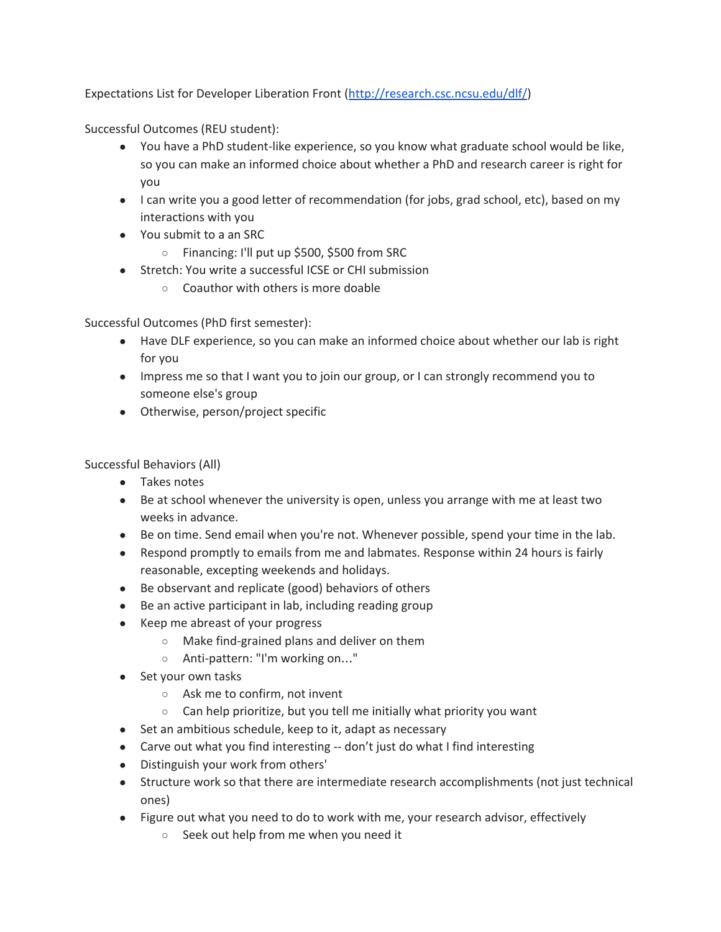Expectations List for Developer Liberation Front ([http://research.csc.ncsu.edu/dlf/\)](http://research.csc.ncsu.edu/dlf/)

Successful Outcomes (REU student):

- You have a PhD student-like experience, so you know what graduate school would be like, so you can make an informed choice about whether a PhD and research career is right for you
- I can write you a good letter of recommendation (for jobs, grad school, etc), based on my interactions with you
- You submit to a an SRC
	- Financing: I'll put up \$500, \$500 from SRC
- Stretch: You write a successful ICSE or CHI submission
	- Coauthor with others is more doable

Successful Outcomes (PhD first semester):

- Have DLF experience, so you can make an informed choice about whether our lab is right for you
- Impress me so that I want you to join our group, or I can strongly recommend you to someone else's group
- Otherwise, person/project specific

Successful Behaviors (All)

- Takes notes
- Be at school whenever the university is open, unless you arrange with me at least two weeks in advance.
- Be on time. Send email when you're not. Whenever possible, spend your time in the lab.
- Respond promptly to emails from me and labmates. Response within 24 hours is fairly reasonable, excepting weekends and holidays.
- Be observant and replicate (good) behaviors of others
- Be an active participant in lab, including reading group
- Keep me abreast of your progress
	- Make find-grained plans and deliver on them
	- Anti-pattern: "I'm working on..."
- Set your own tasks
	- Ask me to confirm, not invent
	- Can help prioritize, but you tell me initially what priority you want
- Set an ambitious schedule, keep to it, adapt as necessary
- Carve out what you find interesting -- don't just do what I find interesting
- Distinguish your work from others'
- Structure work so that there are intermediate research accomplishments (not just technical ones)
- Figure out what you need to do to work with me, your research advisor, effectively
	- Seek out help from me when you need it